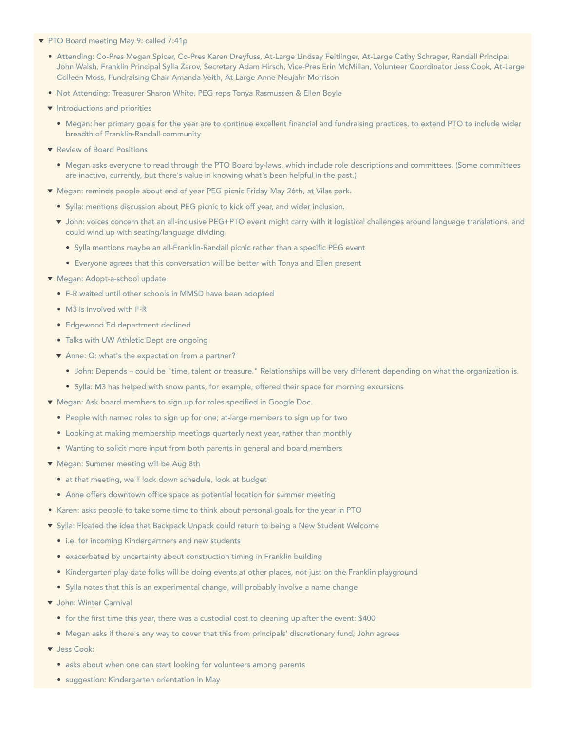- PTO Board meeting May 9: called 7:41p
	- Attending: Co-Pres Megan Spicer, Co-Pres Karen Dreyfuss, At-Large Lindsay Feitlinger, At-Large Cathy Schrager, Randall Principal John Walsh, Franklin Principal Sylla Zarov, Secretary Adam Hirsch, Vice-Pres Erin McMillan, Volunteer Coordinator Jess Cook, At-Large Colleen Moss, Fundraising Chair Amanda Veith, At Large Anne Neujahr Morrison
	- Not Attending: Treasurer Sharon White, PEG reps Tonya Rasmussen & Ellen Boyle
	- $\blacktriangleright$  Introductions and priorities
		- Megan: her primary goals for the year are to continue excellent financial and fundraising practices, to extend PTO to include wider breadth of Franklin-Randall community
	- **T** Review of Board Positions
		- Megan asks everyone to read through the PTO Board by-laws, which include role descriptions and committees. (Some committees are inactive, currently, but there's value in knowing what's been helpful in the past.)
	- Megan: reminds people about end of year PEG picnic Friday May 26th, at Vilas park.
		- Sylla: mentions discussion about PEG picnic to kick off year, and wider inclusion.
		- John: voices concern that an all-inclusive PEG+PTO event might carry with it logistical challenges around language translations, and could wind up with seating/language dividing
			- Sylla mentions maybe an all-Franklin-Randall picnic rather than a specific PEG event
			- Everyone agrees that this conversation will be better with Tonya and Ellen present
	- Megan: Adopt-a-school update
		- F-R waited until other schools in MMSD have been adopted
		- M3 is involved with F-R
		- Edgewood Ed department declined
		- Talks with UW Athletic Dept are ongoing
		- ▼ Anne: Q: what's the expectation from a partner?
			- John: Depends could be "time, talent or treasure." Relationships will be very different depending on what the organization is.
			- Sylla: M3 has helped with snow pants, for example, offered their space for morning excursions
	- ▼ Megan: Ask board members to sign up for roles specified in Google Doc.
		- People with named roles to sign up for one; at-large members to sign up for two
		- Looking at making membership meetings quarterly next year, rather than monthly
		- Wanting to solicit more input from both parents in general and board members
	- Megan: Summer meeting will be Aug 8th
		- at that meeting, we'll lock down schedule, look at budget
		- Anne offers downtown office space as potential location for summer meeting
	- Karen: asks people to take some time to think about personal goals for the year in PTO
	- Sylla: Floated the idea that Backpack Unpack could return to being a New Student Welcome
		- i.e. for incoming Kindergartners and new students
		- exacerbated by uncertainty about construction timing in Franklin building
		- Kindergarten play date folks will be doing events at other places, not just on the Franklin playground
		- Sylla notes that this is an experimental change, will probably involve a name change
	- John: Winter Carnival
		- for the first time this year, there was a custodial cost to cleaning up after the event: \$400
		- Megan asks if there's any way to cover that this from principals' discretionary fund; John agrees
	- Jess Cook:
		- asks about when one can start looking for volunteers among parents
		- suggestion: Kindergarten orientation in May